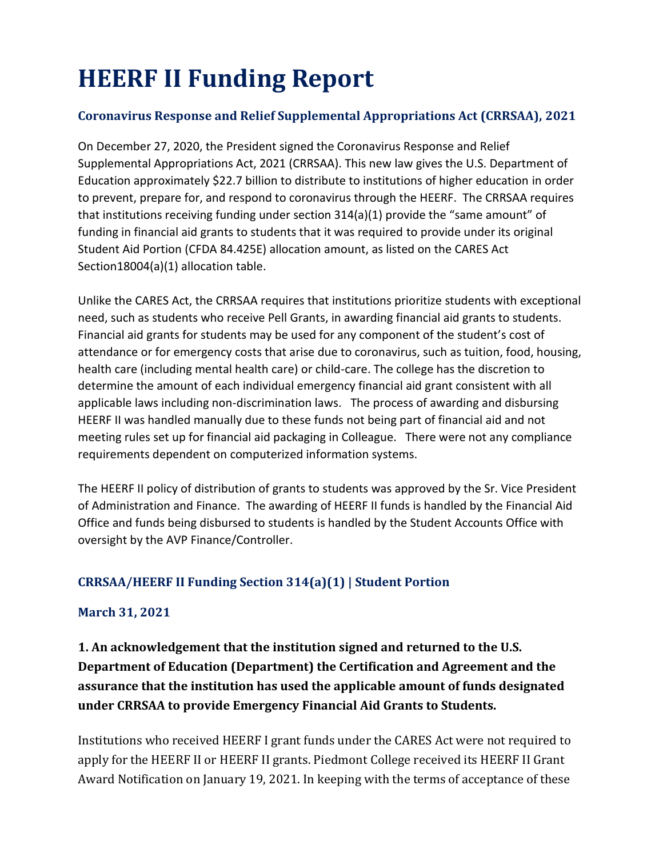# **HEERF II Funding Report**

#### **Coronavirus Response and Relief Supplemental Appropriations Act (CRRSAA), 2021**

On December 27, 2020, the President signed the Coronavirus Response and Relief Supplemental Appropriations Act, 2021 (CRRSAA). This new law gives the U.S. Department of Education approximately \$22.7 billion to distribute to institutions of higher education in order to prevent, prepare for, and respond to coronavirus through the HEERF. The CRRSAA requires that institutions receiving funding under section 314(a)(1) provide the "same amount" of funding in financial aid grants to students that it was required to provide under its original Student Aid Portion (CFDA 84.425E) allocation amount, as listed on the CARES Act Section18004(a)(1) allocation table.

Unlike the CARES Act, the CRRSAA requires that institutions prioritize students with exceptional need, such as students who receive Pell Grants, in awarding financial aid grants to students. Financial aid grants for students may be used for any component of the student's cost of attendance or for emergency costs that arise due to coronavirus, such as tuition, food, housing, health care (including mental health care) or child-care. The college has the discretion to determine the amount of each individual emergency financial aid grant consistent with all applicable laws including non-discrimination laws. The process of awarding and disbursing HEERF II was handled manually due to these funds not being part of financial aid and not meeting rules set up for financial aid packaging in Colleague. There were not any compliance requirements dependent on computerized information systems.

The HEERF II policy of distribution of grants to students was approved by the Sr. Vice President of Administration and Finance. The awarding of HEERF II funds is handled by the Financial Aid Office and funds being disbursed to students is handled by the Student Accounts Office with oversight by the AVP Finance/Controller.

#### **CRRSAA/HEERF II Funding Section 314(a)(1) | Student Portion**

#### **March 31, 2021**

**1. An acknowledgement that the institution signed and returned to the U.S. Department of Education (Department) the Certification and Agreement and the assurance that the institution has used the applicable amount of funds designated under CRRSAA to provide Emergency Financial Aid Grants to Students.**

Institutions who received HEERF I grant funds under the CARES Act were not required to apply for the HEERF II or HEERF II grants. Piedmont College received its HEERF II Grant Award Notification on January 19, 2021. In keeping with the terms of acceptance of these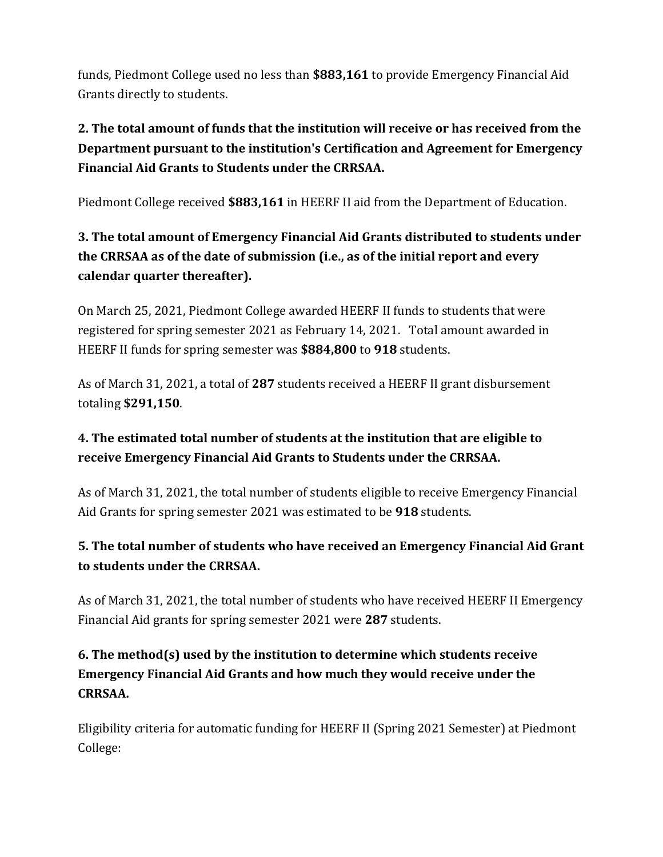funds, Piedmont College used no less than **\$883,161** to provide Emergency Financial Aid Grants directly to students.

# **2. The total amount of funds that the institution will receive or has received from the Department pursuant to the institution's Certification and Agreement for Emergency Financial Aid Grants to Students under the CRRSAA.**

Piedmont College received **\$883,161** in HEERF II aid from the Department of Education.

# **3. The total amount of Emergency Financial Aid Grants distributed to students under the CRRSAA as of the date of submission (i.e., as of the initial report and every calendar quarter thereafter).**

On March 25, 2021, Piedmont College awarded HEERF II funds to students that were registered for spring semester 2021 as February 14, 2021. Total amount awarded in HEERF II funds for spring semester was **\$884,800** to **918** students.

As of March 31, 2021, a total of **287** students received a HEERF II grant disbursement totaling **\$291,150**.

## **4. The estimated total number of students at the institution that are eligible to receive Emergency Financial Aid Grants to Students under the CRRSAA.**

As of March 31, 2021, the total number of students eligible to receive Emergency Financial Aid Grants for spring semester 2021 was estimated to be **918** students.

## **5. The total number of students who have received an Emergency Financial Aid Grant to students under the CRRSAA.**

As of March 31, 2021, the total number of students who have received HEERF II Emergency Financial Aid grants for spring semester 2021 were **287** students.

# **6. The method(s) used by the institution to determine which students receive Emergency Financial Aid Grants and how much they would receive under the CRRSAA.**

Eligibility criteria for automatic funding for HEERF II (Spring 2021 Semester) at Piedmont College: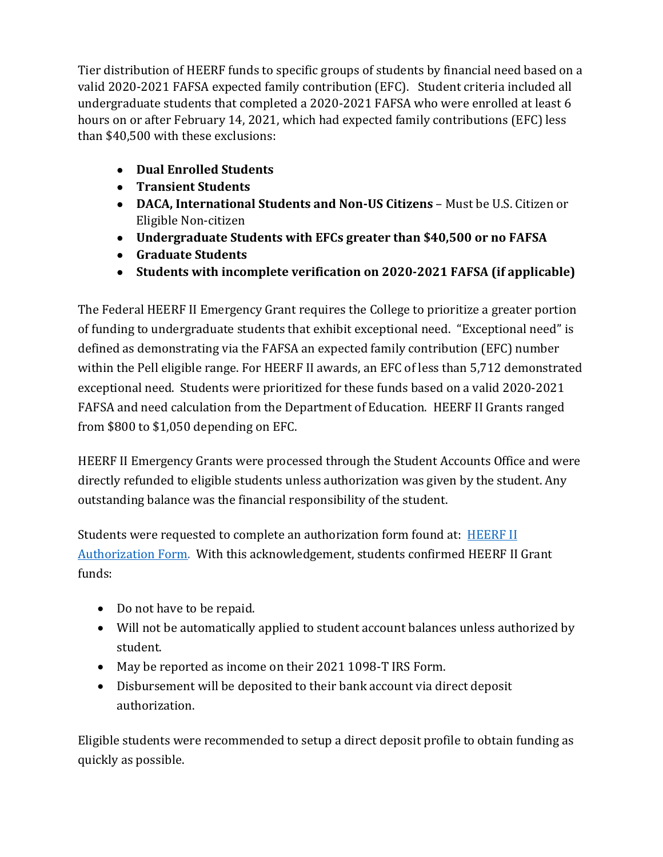Tier distribution of HEERF funds to specific groups of students by financial need based on a valid 2020-2021 FAFSA expected family contribution (EFC). Student criteria included all undergraduate students that completed a 2020-2021 FAFSA who were enrolled at least 6 hours on or after February 14, 2021, which had expected family contributions (EFC) less than \$40,500 with these exclusions:

- **Dual Enrolled Students**
- **Transient Students**
- **DACA, International Students and Non-US Citizens**  Must be U.S. Citizen or Eligible Non-citizen
- **Undergraduate Students with EFCs greater than \$40,500 or no FAFSA**
- **Graduate Students**
- **Students with incomplete verification on 2020-2021 FAFSA (if applicable)**

The Federal HEERF II Emergency Grant requires the College to prioritize a greater portion of funding to undergraduate students that exhibit exceptional need. "Exceptional need" is defined as demonstrating via the FAFSA an expected family contribution (EFC) number within the Pell eligible range. For HEERF II awards, an EFC of less than 5,712 demonstrated exceptional need. Students were prioritized for these funds based on a valid 2020-2021 FAFSA and need calculation from the Department of Education. HEERF II Grants ranged from \$800 to \$1,050 depending on EFC.

HEERF II Emergency Grants were processed through the Student Accounts Office and were directly refunded to eligible students unless authorization was given by the student. Any outstanding balance was the financial responsibility of the student.

Students were requested to complete an authorization form found at: **[HEERF II](https://piedmontcollegega.wufoo.com/forms/q3ietai131o79w/)** [Authorization Form.](https://piedmontcollegega.wufoo.com/forms/q3ietai131o79w/) With this acknowledgement, students confirmed HEERF II Grant funds:

- Do not have to be repaid.
- Will not be automatically applied to student account balances unless authorized by student.
- May be reported as income on their 2021 1098-T IRS Form.
- Disbursement will be deposited to their bank account via direct deposit authorization.

Eligible students were recommended to setup a direct deposit profile to obtain funding as quickly as possible.